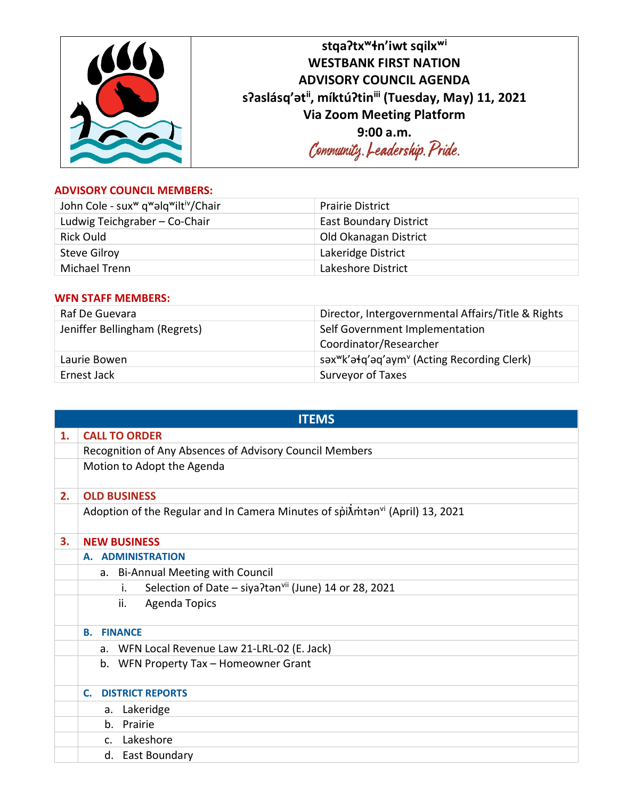| stga?tx <sup>w</sup> +n'iwt sqilx <sup>wi</sup>     |
|-----------------------------------------------------|
| <b>WESTBANK FIRST NATION</b>                        |
| <b>ADVISORY COUNCIL AGENDA</b>                      |
| s?aslásq'atii, míktú?tiniii (Tuesday, May) 11, 2021 |
| <b>Via Zoom Meeting Platform</b>                    |
| 9:00 a.m.                                           |
| Community. Leadership. Pride.                       |
|                                                     |

## **ADVISORY COUNCIL MEMBERS:**

| John Cole - sux <sup>w</sup> q <sup>w</sup> alq <sup>w</sup> iltiv/Chair | <b>Prairie District</b>       |
|--------------------------------------------------------------------------|-------------------------------|
| Ludwig Teichgraber - Co-Chair                                            | <b>East Boundary District</b> |
| Rick Ould                                                                | Old Okanagan District         |
| <b>Steve Gilroy</b>                                                      | Lakeridge District            |
| Michael Trenn                                                            | Lakeshore District            |

## **WFN STAFF MEMBERS:**

| Raf De Guevara                | Director, Intergovernmental Affairs/Title & Rights                  |
|-------------------------------|---------------------------------------------------------------------|
| Jeniffer Bellingham (Regrets) | Self Government Implementation<br>Coordinator/Researcher            |
| Laurie Bowen                  | səx <sup>w</sup> k'əłq'əq'aym <sup>v</sup> (Acting Recording Clerk) |
| Ernest Jack                   | Surveyor of Taxes                                                   |

|    | <b>ITEMS</b>                                                                                               |  |  |
|----|------------------------------------------------------------------------------------------------------------|--|--|
| 1. | <b>CALL TO ORDER</b>                                                                                       |  |  |
|    | Recognition of Any Absences of Advisory Council Members                                                    |  |  |
|    | Motion to Adopt the Agenda                                                                                 |  |  |
| 2. | <b>OLD BUSINESS</b>                                                                                        |  |  |
|    | Adoption of the Regular and In Camera Minutes of spi $\tilde{\Lambda}$ mtan <sup>vi</sup> (April) 13, 2021 |  |  |
| 3. | <b>NEW BUSINESS</b>                                                                                        |  |  |
|    | A. ADMINISTRATION                                                                                          |  |  |
|    | a. Bi-Annual Meeting with Council                                                                          |  |  |
|    | Selection of Date - siya?tan <sup>vii</sup> (June) 14 or 28, 2021<br>i.                                    |  |  |
|    | ii.<br><b>Agenda Topics</b>                                                                                |  |  |
|    | <b>B. FINANCE</b>                                                                                          |  |  |
|    | a. WFN Local Revenue Law 21-LRL-02 (E. Jack)                                                               |  |  |
|    | b. WFN Property Tax - Homeowner Grant                                                                      |  |  |
|    | <b>DISTRICT REPORTS</b><br>$\mathsf{C}$ .                                                                  |  |  |
|    | a. Lakeridge                                                                                               |  |  |
|    | b. Prairie                                                                                                 |  |  |
|    | c. Lakeshore                                                                                               |  |  |
|    | d. East Boundary                                                                                           |  |  |